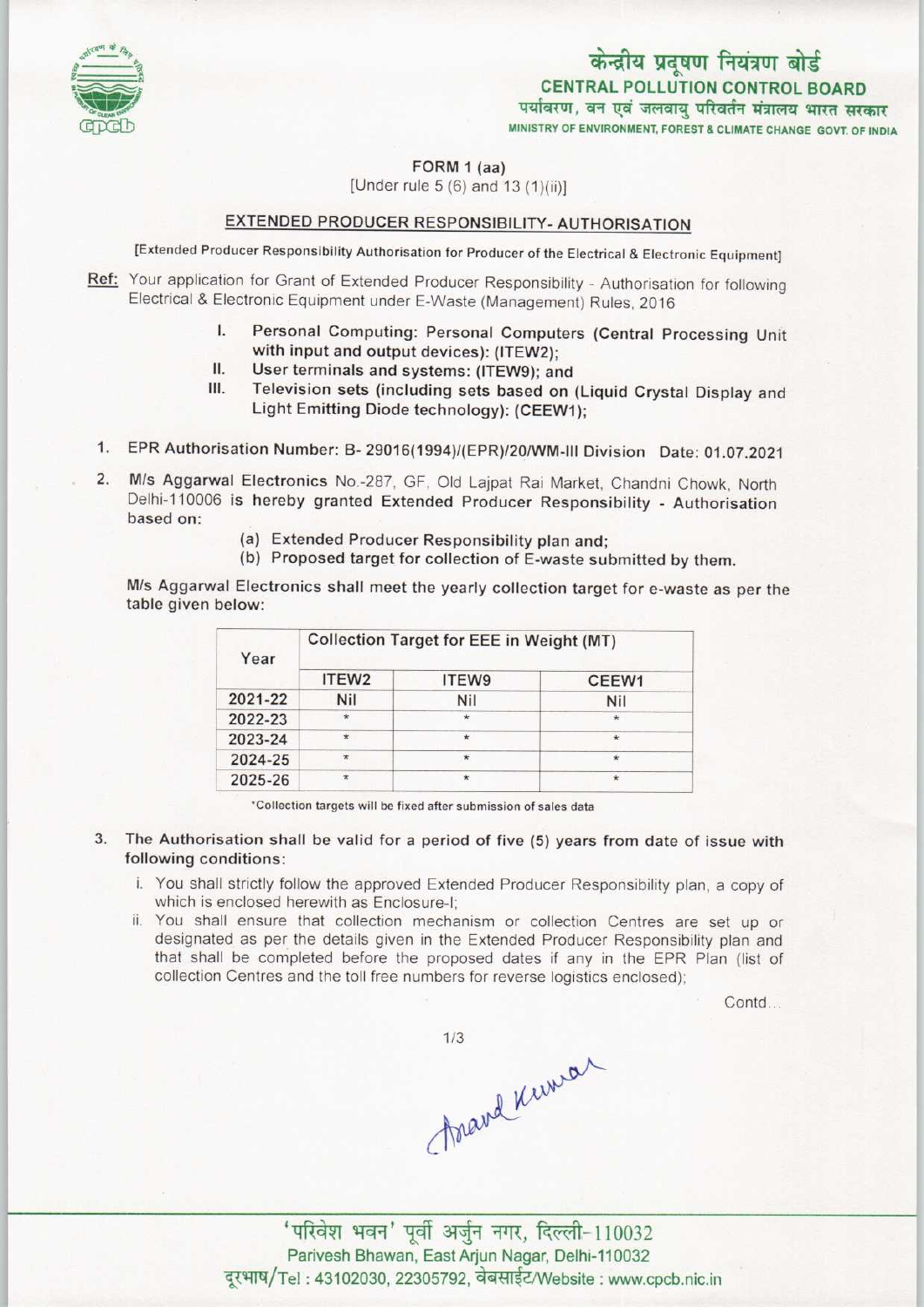

### केन्द्रीय प्रदूषण नियंत्रण बोर्ड CENTRAL POLLUTION CONTROL BOARD पर्यावरण, वन एवं जलवाय परिवर्तन मंत्रालय भारत सरकार MINISTRY OF ENVIRONMENT, FOREST & CLIMATE CHANGE GOVT. OF INDIA

FORM 1 (aa)

[Under rule  $5(6)$  and  $13(1)(ii)$ ]

#### EXTENDED PRODUCER RESPONSIBILITY-AUTHORISATION

[Extended Producer Responsibility Authorisation for Producer of the Electrical & Electronic Equipment]

- Ref: Your application for Grant of Extended Producer Responsibility Authorisation for following Electrical & Electronic Equipment under E-Waste (Management) Rules, 2016
	- I. Personal Computing: Personal Computers (Central Processing Unit<br>I. Personal Computing: Personal Computers (Central Processing Unit<br>with input and output devices): (ITEW2). with input and output devices): (ITEW2);<br>User terminals and systems: (ITEW9); and I. Personal Computing: Personal Compute<br>with input and output devices): (ITEW2);<br>II. User terminals and systems: (ITEW9); and<br>II. Television sets (including sets based on
	-
	- III. Television sets (including sets based on (Liquid Crystal Display and Light Emitting Diode technology): (CEEW1);
- 1. EPR Authorisation Number: B- 29016(1994)/(EPR)/20/WM-lll Division Date: 01.07.2021
- 2. M/s Aggarwal Electronics No.-287, GF, Old Lajpat Rai Market, Chandni Chowk, North Delhi-110006 is hereby granted Extended Producer Responsibility - Authorisation based on:
	- (a)Extended Producer Responsibility plan and;
	- (b) Proposed target for collection of E-waste submitted by them.

M/s Aggarwal Electronics shall meet the yearly collection target for e-waste as per the table given below:

| Year    | <b>Collection Target for EEE in Weight (MT)</b> |         |               |
|---------|-------------------------------------------------|---------|---------------|
|         | ITEW <sub>2</sub>                               | ITEW9   | CEEW1         |
| 2021-22 | Nil                                             | Nil     | Nil           |
| 2022-23 | $\star$                                         | $\star$ | $\star$       |
| 2023-24 | $\star$                                         | $\star$ | $\star$       |
| 2024-25 | $\star$                                         | ÷       | $\mathcal{H}$ |
| 2025-26 | $\star$                                         | $\star$ | $\star$       |

"Collection targets will be fixed after submission of sales data

- 3. The Authorisation shall be valid for a period of five (5) years from date of issue with following conditions:
	- i. You shall strictly follow the approved Extended Producer Responsibility plan, a copy of which is enclosed herewith as Enclosure-I;
	- ii. You shall ensure that collection mechanism or collection Centres are set up or designated as per the details given in the Extended Producer Responsibility plan and that shall be completed before the proposed dates if any in the EPR Plan (list of collection Centres and the toll free numbers for reverse logistics enclosed);

Contd...

 $1/3$ 

 $A$ अखारी सरसारे से संस्थान करने ।<br>'परिवेश भवन' पूर्वी अर्जुन नगर, दिल्ली-110032

Parivesh Bhawan, East Arjun Nagar, Delhi-110032 दूरभाष/Tel: 43102030, 22305792, वेबसाईट/Website : www.cpcb.nic.in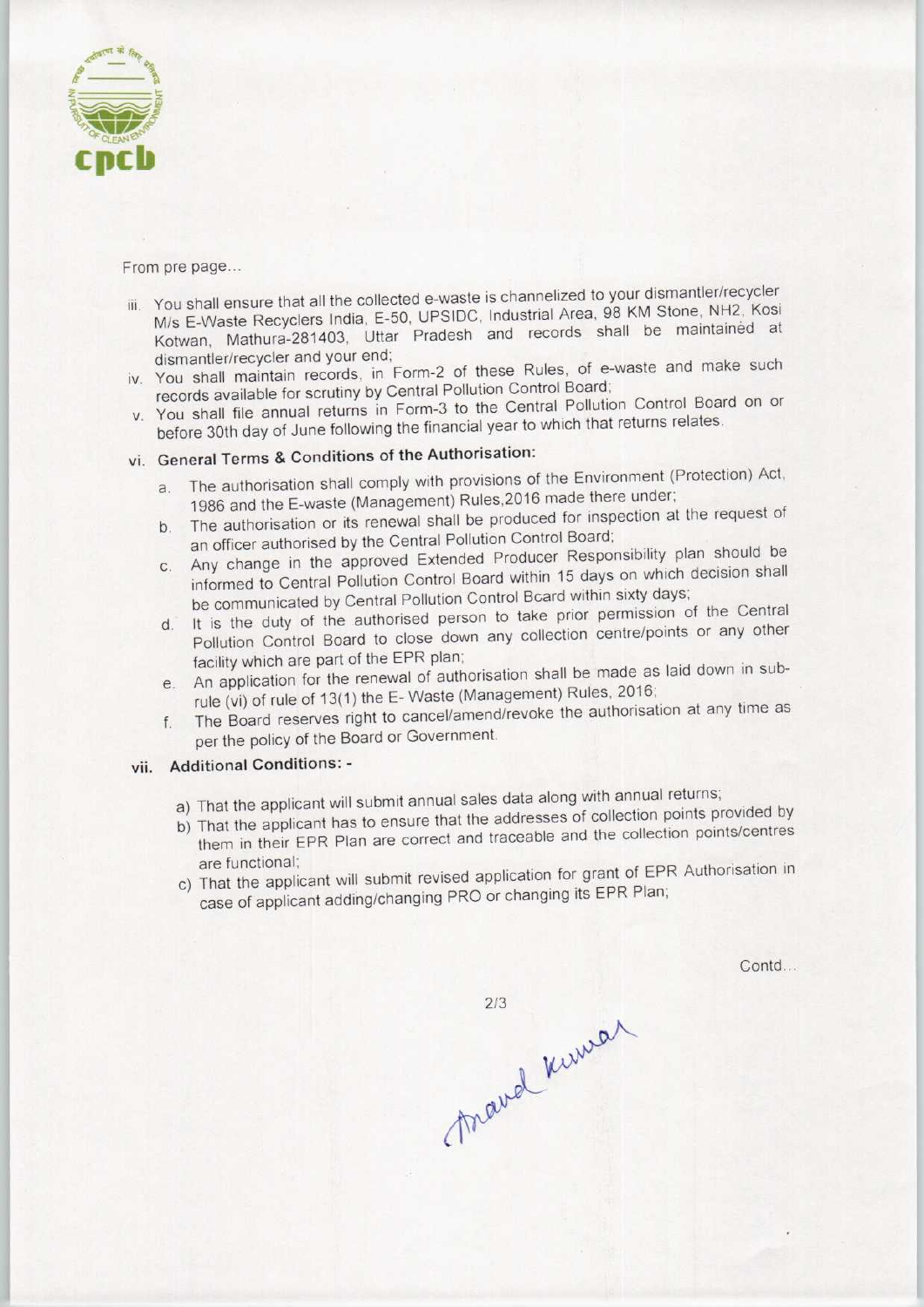

From pre page...

- iii. You shall ensure that all the collected e-waste is channelized to your dismantler/recycler M/s E-Waste Recyclers India, E-50. UPS1DC. Industrial Area, 98 KM Stone, NH2, Kosi Kotwan, Mathura-281403, Uttar Pradesh and records shall be maintained at dismantler/recycler and your end;
- iv. You shall maintain records, in Form-2 of these Rules, of e-waste and make such records available for scrutiny by Central Pollution Control Board;
- v. You shall file annual returns in Form-3 to the Central Pollution Control Board on or before 30th day of June following the financial year to which that returns relates.

## vi. General Terms & Conditions of the Authorisation:

- a. The authorisation shall comply with provisions of the Environment (Protection) Act, 1986 and the E-waste (Management) Rules,2016 made there under;
- b.The authorisation or its renewal shall be produced for inspection at the request of an officer authorised by the Central Pollution Control Board;
- c. Any change in the approved Extended Producer Responsibility plan should be informed to Central Pollution Control Board within 15 days on which decision shall be communicated by Central Pollution Control Beard within sixty days;
- d. It is the duty of the authorised person to take prior permission of the Central Pollution Control Board to close down any collection centre/points or any other facility which are part of the EPR plan;
- e.An application for the renewal of authorisation shall be made as laid down in subrule (vi) of rule of 13(1) the E-Waste (Management) Rules, 2016;
- f.The Board reserves right to cancel/amend/revoke the authorisation at any time as per the policy of the Board or Government.

### vii. Additional Conditions: -

- a) That the applicant will submit annual sales data along with annual returns;
- b) That the applicant has to ensure that the addresses of collection points provided by them in their EPR Plan are correct and traceable and the collection points/centres
- are functional;<br>at the applicant will submit revised application for grant of EPR Authorisation in case of applicant adding/changing PRO or changing its EPR Plan;

Contd...

mard kirmen  $2/3$